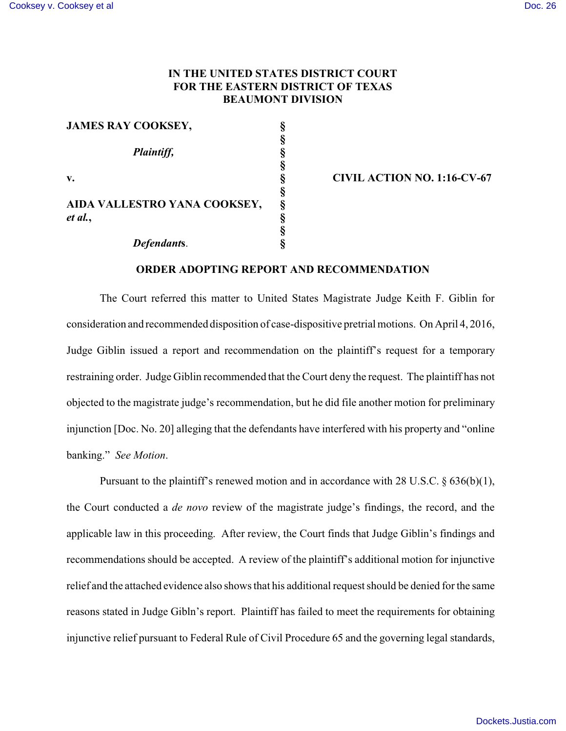## **IN THE UNITED STATES DISTRICT COURT FOR THE EASTERN DISTRICT OF TEXAS BEAUMONT DIVISION**

| <b>JAMES RAY COOKSEY,</b>    | § |
|------------------------------|---|
|                              | ş |
| Plaintiff,                   | ş |
|                              | ş |
| v.                           | ş |
|                              | § |
| AIDA VALLESTRO YANA COOKSEY, | ş |
| et al.,                      | ş |
|                              | ş |
| Defendants.                  |   |

## **v. § CIVIL ACTION NO. 1:16-CV-67**

## **ORDER ADOPTING REPORT AND RECOMMENDATION**

The Court referred this matter to United States Magistrate Judge Keith F. Giblin for consideration and recommended disposition of case-dispositive pretrial motions. On April 4, 2016, Judge Giblin issued a report and recommendation on the plaintiff's request for a temporary restraining order. Judge Giblin recommended that the Court deny the request. The plaintiff has not objected to the magistrate judge's recommendation, but he did file another motion for preliminary injunction [Doc. No. 20] alleging that the defendants have interfered with his property and "online banking." *See Motion*.

Pursuant to the plaintiff's renewed motion and in accordance with 28 U.S.C. § 636(b)(1), the Court conducted a *de novo* review of the magistrate judge's findings, the record, and the applicable law in this proceeding. After review, the Court finds that Judge Giblin's findings and recommendations should be accepted. A review of the plaintiff's additional motion for injunctive relief and the attached evidence also shows that his additional request should be denied for the same reasons stated in Judge Gibln's report. Plaintiff has failed to meet the requirements for obtaining injunctive relief pursuant to Federal Rule of Civil Procedure 65 and the governing legal standards,